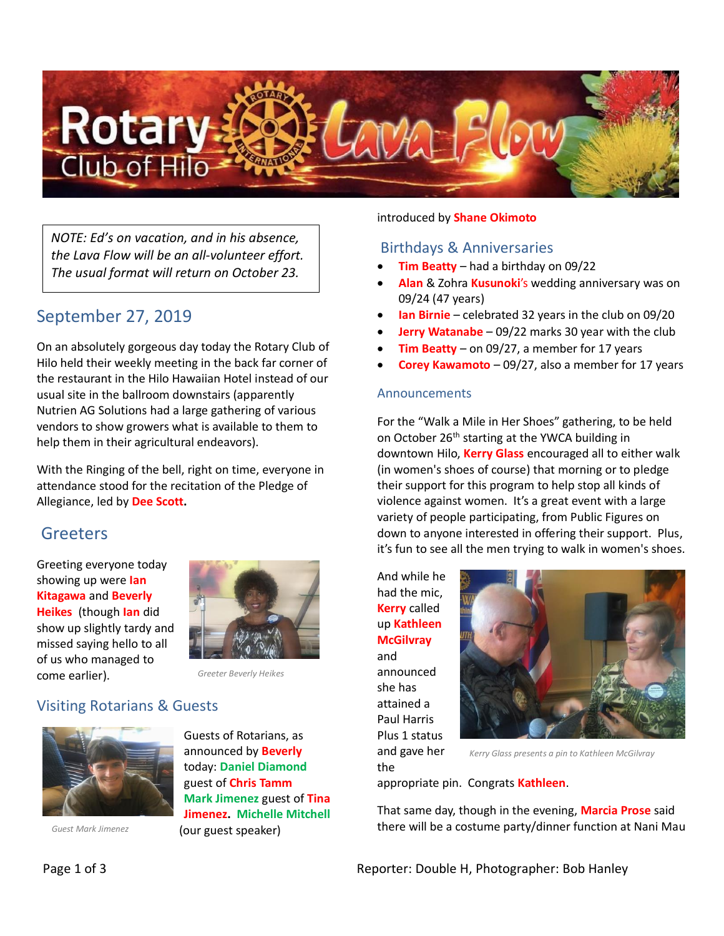

*NOTE: Ed's on vacation, and in his absence, the Lava Flow will be an all-volunteer effort. The usual format will return on October 23.*

# September 27, 2019

On an absolutely gorgeous day today the Rotary Club of Hilo held their weekly meeting in the back far corner of the restaurant in the Hilo Hawaiian Hotel instead of our usual site in the ballroom downstairs (apparently Nutrien AG Solutions had a large gathering of various vendors to show growers what is available to them to help them in their agricultural endeavors).

With the Ringing of the bell, right on time, everyone in attendance stood for the recitation of the Pledge of Allegiance, led by **Dee Scott.**

### Greeters

Greeting everyone today showing up were **Ian Kitagawa** and **Beverly Heikes** (though **Ian** did show up slightly tardy and missed saying hello to all of us who managed to come earlier).



*Greeter Beverly Heikes*

## Visiting Rotarians & Guests



*Guest Mark Jimenez*

Guests of Rotarians, as announced by **Beverly** today: **Daniel Diamond** guest of **Chris Tamm Mark Jimenez** guest of **Tina Jimenez. Michelle Mitchell** (our guest speaker)

#### introduced by **Shane Okimoto**

#### Birthdays & Anniversaries

- **Tim Beatty** had a birthday on 09/22
- **Alan** & Zohra **Kusunoki**'s wedding anniversary was on 09/24 (47 years)
- **Ian Birnie**  celebrated 32 years in the club on 09/20
- **Jerry Watanabe** 09/22 marks 30 year with the club
- **Tim Beatty** on 09/27, a member for 17 years
- **Corey Kawamoto** 09/27, also a member for 17 years

#### Announcements

For the "Walk a Mile in Her Shoes" gathering, to be held on October 26<sup>th</sup> starting at the YWCA building in downtown Hilo, **Kerry Glass** encouraged all to either walk (in women's shoes of course) that morning or to pledge their support for this program to help stop all kinds of violence against women. It's a great event with a large variety of people participating, from Public Figures on down to anyone interested in offering their support. Plus, it's fun to see all the men trying to walk in women's shoes.

And while he had the mic, **Kerry** called up **Kathleen McGilvray** and

announced she has attained a Paul Harris Plus 1 status and gave her

the



*Kerry Glass presents a pin to Kathleen McGilvray*

appropriate pin. Congrats **Kathleen**.

That same day, though in the evening, **Marcia Prose** said there will be a costume party/dinner function at Nani Mau

Page 1 of 3 **Page 1 of 3** Reporter: Double H, Photographer: Bob Hanley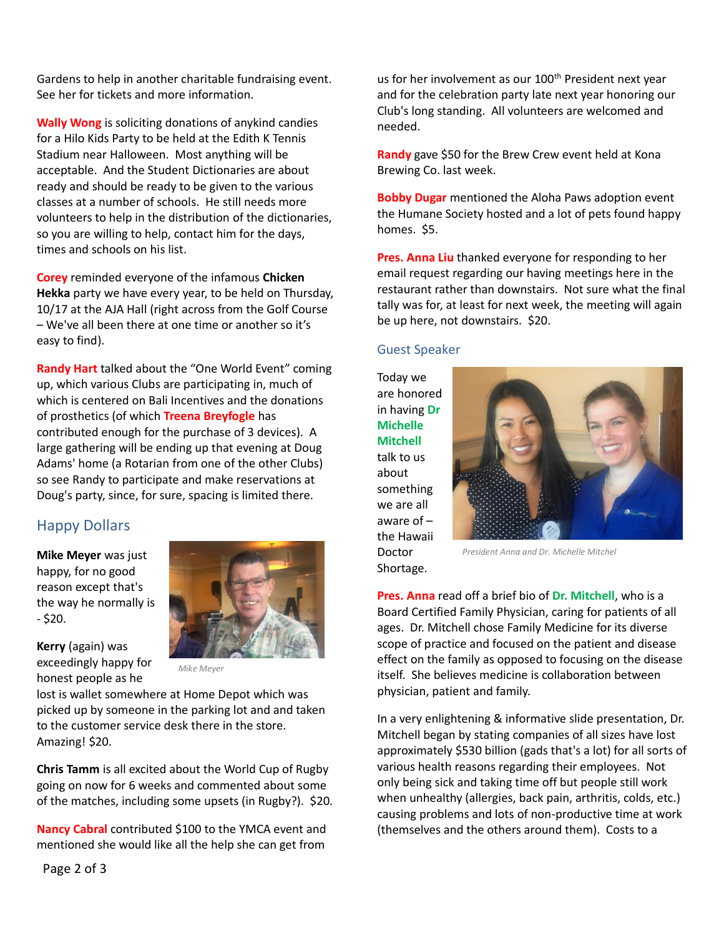Gardens to help in another charitable fundraising event. See her for tickets and more information.

**Wally Wong** is soliciting donations of anykind candies for a Hilo Kids Party to be held at the Edith K Tennis Stadium near Halloween. Most anything will be acceptable. And the Student Dictionaries are about ready and should be ready to be given to the various classes at a number of schools. He still needs more volunteers to help in the distribution of the dictionaries, so you are willing to help, contact him for the days, times and schools on his list.

**Corey** reminded everyone of the infamous **Chicken Hekka** party we have every year, to be held on Thursday, 10/17 at the AJA Hall (right across from the Golf Course – We've all been there at one time or another so it's easy to find).

**Randy Hart** talked about the "One World Event" coming up, which various Clubs are participating in, much of which is centered on Bali Incentives and the donations of prosthetics (of which **Treena Breyfogle** has contributed enough for the purchase of 3 devices). A large gathering will be ending up that evening at Doug Adams' home (a Rotarian from one of the other Clubs) so see Randy to participate and make reservations at Doug's party, since, for sure, spacing is limited there.

### Happy Dollars

**Mike Meyer** was just happy, for no good reason except that's the way he normally is - \$20.

**Kerry** (again) was exceedingly happy for honest people as he



*Mike Meyer*

lost is wallet somewhere at Home Depot which was picked up by someone in the parking lot and and taken to the customer service desk there in the store. Amazing! \$20.

**Chris Tamm** is all excited about the World Cup of Rugby going on now for 6 weeks and commented about some of the matches, including some upsets (in Rugby?). \$20.

**Nancy Cabral** contributed \$100 to the YMCA event and mentioned she would like all the help she can get from

us for her involvement as our 100<sup>th</sup> President next year and for the celebration party late next year honoring our Club's long standing. All volunteers are welcomed and needed.

**Randy** gave \$50 for the Brew Crew event held at Kona Brewing Co. last week.

**Bobby Dugar** mentioned the Aloha Paws adoption event the Humane Society hosted and a lot of pets found happy homes. \$5.

**Pres. Anna Liu** thanked everyone for responding to her email request regarding our having meetings here in the restaurant rather than downstairs. Not sure what the final tally was for, at least for next week, the meeting will again be up here, not downstairs. \$20.

#### Guest Speaker

Today we are honored in having **Dr Michelle Mitchell** talk to us about something we are all aware of – the Hawaii Doctor Shortage.



*President Anna and Dr. Michelle Mitchel*

**Pres. Anna** read off a brief bio of **Dr. Mitchell**, who is a Board Certified Family Physician, caring for patients of all ages. Dr. Mitchell chose Family Medicine for its diverse scope of practice and focused on the patient and disease effect on the family as opposed to focusing on the disease itself. She believes medicine is collaboration between physician, patient and family.

In a very enlightening & informative slide presentation, Dr. Mitchell began by stating companies of all sizes have lost approximately \$530 billion (gads that's a lot) for all sorts of various health reasons regarding their employees. Not only being sick and taking time off but people still work when unhealthy (allergies, back pain, arthritis, colds, etc.) causing problems and lots of non-productive time at work (themselves and the others around them). Costs to a

Page 2 of 3